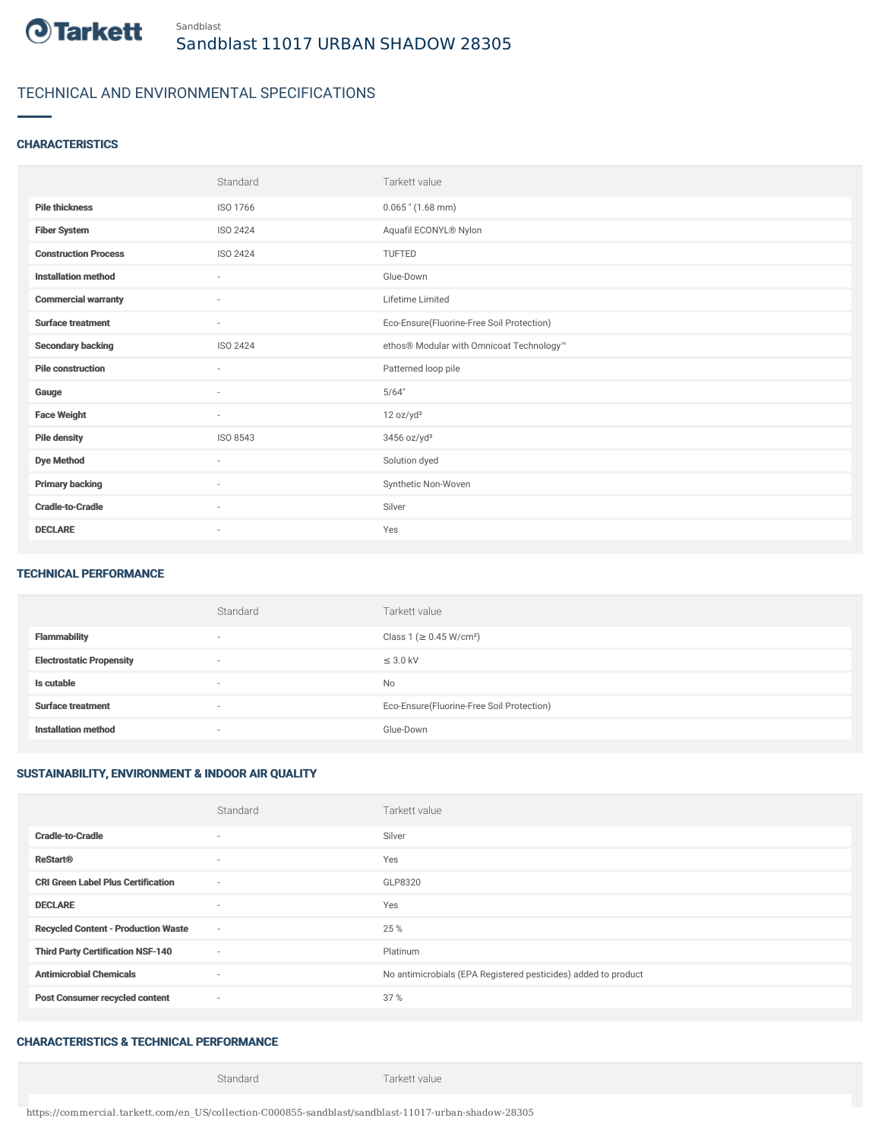

# TECHNICAL AND ENVIRONMENTAL SPECIFICATIONS

#### **CHARACTERISTICS**

|                             | Standard                 | Tarkett value                             |
|-----------------------------|--------------------------|-------------------------------------------|
| <b>Pile thickness</b>       | ISO 1766                 | $0.065$ " $(1.68$ mm)                     |
| <b>Fiber System</b>         | ISO 2424                 | Aquafil ECONYL® Nylon                     |
| <b>Construction Process</b> | <b>ISO 2424</b>          | <b>TUFTED</b>                             |
| <b>Installation method</b>  | $\sim$                   | Glue-Down                                 |
| <b>Commercial warranty</b>  | $\overline{\phantom{a}}$ | Lifetime Limited                          |
| <b>Surface treatment</b>    | $\sim$                   | Eco-Ensure(Fluorine-Free Soil Protection) |
| <b>Secondary backing</b>    | ISO 2424                 | ethos® Modular with Omnicoat Technology™  |
| <b>Pile construction</b>    | $\sim$                   | Patterned loop pile                       |
| Gauge                       | $\sim$                   | 5/64"                                     |
| <b>Face Weight</b>          | $\sim$                   | 12 oz/yd <sup>2</sup>                     |
| <b>Pile density</b>         | ISO 8543                 | $3456$ oz/yd <sup>3</sup>                 |
| <b>Dye Method</b>           | $\sim$                   | Solution dyed                             |
| <b>Primary backing</b>      | $\sim$                   | Synthetic Non-Woven                       |
| <b>Cradle-to-Cradle</b>     | $\overline{\phantom{a}}$ | Silver                                    |
| <b>DECLARE</b>              | $\overline{\phantom{a}}$ | Yes                                       |

#### TECHNICAL PERFORMANCE

|                                 | Standard                 | Tarkett value                             |
|---------------------------------|--------------------------|-------------------------------------------|
| <b>Flammability</b>             | $\overline{\phantom{a}}$ | Class 1 (≥ 0.45 W/cm <sup>2</sup> )       |
| <b>Electrostatic Propensity</b> | $\overline{\phantom{a}}$ | $\leq$ 3.0 kV                             |
| Is cutable                      | $\overline{\phantom{a}}$ | No                                        |
| <b>Surface treatment</b>        | $\overline{\phantom{a}}$ | Eco-Ensure(Fluorine-Free Soil Protection) |
| <b>Installation method</b>      | $\overline{\phantom{a}}$ | Glue-Down                                 |

### SUSTAINABILITY, ENVIRONMENT & INDOOR AIR QUALITY

|                                            | Standard                 | Tarkett value                                                  |
|--------------------------------------------|--------------------------|----------------------------------------------------------------|
| <b>Cradle-to-Cradle</b>                    | ٠                        | Silver                                                         |
| <b>ReStart®</b>                            | $\sim$                   | Yes                                                            |
| <b>CRI Green Label Plus Certification</b>  | $\sim$                   | GLP8320                                                        |
| <b>DECLARE</b>                             | $\sim$                   | Yes                                                            |
| <b>Recycled Content - Production Waste</b> | $\sim$                   | 25 %                                                           |
| <b>Third Party Certification NSF-140</b>   | $\sim$                   | Platinum                                                       |
| <b>Antimicrobial Chemicals</b>             | $\overline{\phantom{a}}$ | No antimicrobials (EPA Registered pesticides) added to product |
| <b>Post Consumer recycled content</b>      | $\sim$                   | 37 %                                                           |

### CHARACTERISTICS & TECHNICAL PERFORMANCE

Standard Tarkett value